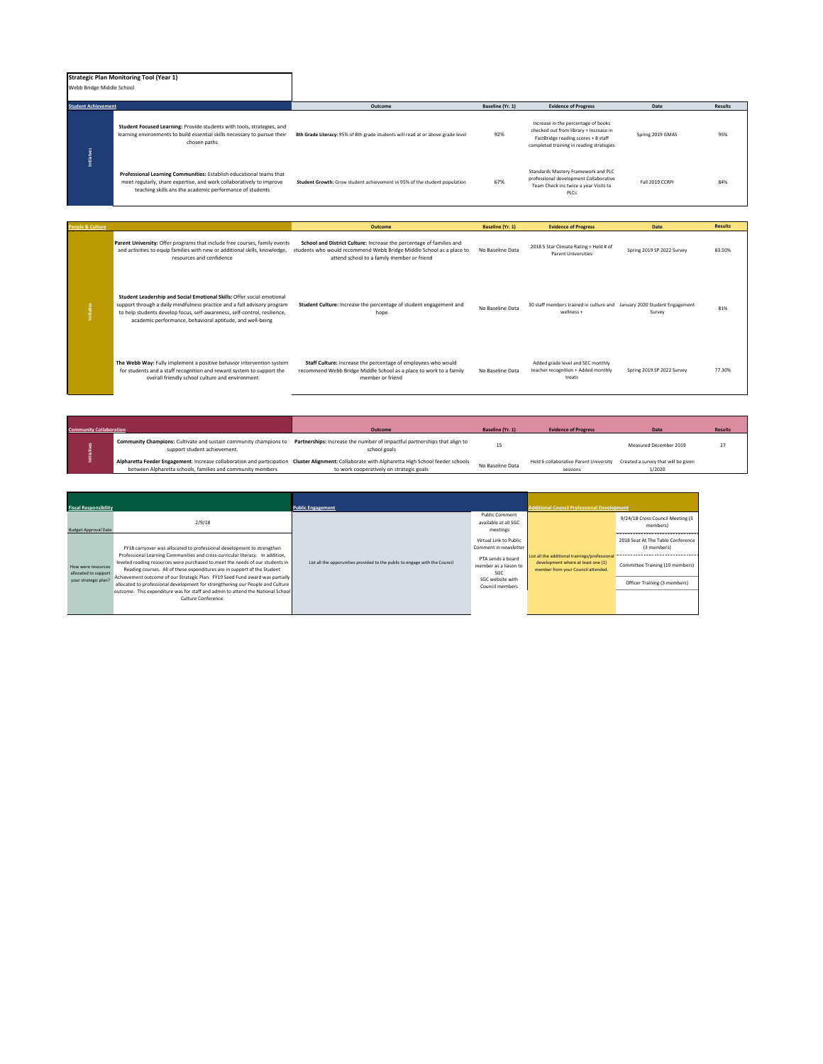## **Strategic Plan Monitoring Tool (Year 1)** Webb Bridge Middle School

| <b>Student Achievement</b> |                                                                                                                                                                                                         | Outcome                                                                         | Baseline (Yr. 1) | <b>Evidence of Progress</b>                                                                                                                                      | Date             | <b>Results</b> |
|----------------------------|---------------------------------------------------------------------------------------------------------------------------------------------------------------------------------------------------------|---------------------------------------------------------------------------------|------------------|------------------------------------------------------------------------------------------------------------------------------------------------------------------|------------------|----------------|
|                            | Student Focused Learning: Provide students with tools, strategies, and<br>learning environments to build essential skills necessary to pursue their<br>chosen paths                                     | 8th Grade Literacy: 95% of 8th grade students will read at or above grade level | 92%              | Increase in the percentage of books<br>checked out from library + Increase in<br>FastBridge reading scores + 8 staff<br>completed training in reading strategies | Spring 2019 GMAS | 95%            |
| Initiat                    | Professional Learning Communities: Establish educational teams that<br>meet regularly, share expertise, and work collaboratively to improve<br>teaching skills ans the academic performance of students | Student Growth: Grow student achievement in 95% of the student population       | 67%              | Standards Mastery Framework and PLC<br>professional development Collaborative<br>Team Check ins twice a year Visits to<br>PLCs                                   | Fall 2019 CCRPI  | 84%            |

| People & Culture |                                                                                                                                                                                                                                                                                              | Outcome                                                                                                                                                                                    | Baseline (Yr. 1) | <b>Evidence of Progress</b>                                                           | Date                       | <b>Results</b> |
|------------------|----------------------------------------------------------------------------------------------------------------------------------------------------------------------------------------------------------------------------------------------------------------------------------------------|--------------------------------------------------------------------------------------------------------------------------------------------------------------------------------------------|------------------|---------------------------------------------------------------------------------------|----------------------------|----------------|
|                  | Parent University: Offer programs that include free courses, family events<br>and activities to equip families with new or additional skills, knowledge,<br>resources and confidence                                                                                                         | School and District Culture: Increase the percentage of families and<br>students who would recommend Webb Bridge Middle School as a place to<br>attend school to a family member or friend | No Baseline Data | 2018 5 Star Climate Rating + Held # of<br><b>Parent Universities</b>                  | Spring 2019 SP 2022 Survey | 83.50%         |
| nitiaties        | Student Leadership and Social Emotional Skills: Offer social emotional<br>support through a daily mindfulness practice and a full advisory program<br>to help students develop focus, self-awareness, self-control, resilience,<br>academic performance, behavioral aptitude, and well-being | Student Culture: Increase the percentage of student engagement and<br>hope                                                                                                                 | No Baseline Data | 30 staff members trained in culture and January 2020 Student Engagement<br>wellness + | Survey                     | 81%            |
|                  | The Webb Way: Fully implement a positive behavior intervention system<br>for students and a staff recognition and reward system to support the<br>overall friendly school culture and environment                                                                                            | Staff Culture: Increase the percentage of employees who would<br>recommend Webb Bridge Middle School as a place to work to a family<br>member or friend                                    | No Baseline Data | Added grade level and SEC monthly<br>teacher recognition + Added monthly<br>treats    | Spring 2019 SP 2022 Survey | 77.30%         |

| <b>Community Collaboration</b> |                                                                                                          | Outcome                                                                                                                                                                                      | Baseline (Yr. 1) | <b>Evidence of Progress</b>                        | Date                                          | <b>Results</b> |
|--------------------------------|----------------------------------------------------------------------------------------------------------|----------------------------------------------------------------------------------------------------------------------------------------------------------------------------------------------|------------------|----------------------------------------------------|-----------------------------------------------|----------------|
|                                | <b>Community Champions:</b> Cultivate and sustain community champions to<br>support student achievement. | Partnerships: Increase the number of impactful partnerships that align to<br>school goals                                                                                                    |                  |                                                    | Measured December 2019                        |                |
|                                | between Alpharetta schools, families and community members                                               | Alpharetta Feeder Engagement: Increase collaboration and participation Cluster Alignment: Collaborate with Alpharetta High School feeder schools<br>to work cooperatively on strategic goals | No Baseline Data | Held 6 collaborative Parent University<br>sessions | Created a survey that will be given<br>1/2020 |                |

| <b>Fiscal Responsibility</b><br><b>Budget Approval Date</b> | 2/9/18                                                                                                                                                                                                                                                                                                               | <b>Public Engagement</b>                                                    | <b>Public Comment</b><br>available at all SGC<br>meetings                                            | <b>Additional Council Professional Development</b>                                                                         | 9/24/18 Cross Council Meeting (3<br>members)<br>                                                |
|-------------------------------------------------------------|----------------------------------------------------------------------------------------------------------------------------------------------------------------------------------------------------------------------------------------------------------------------------------------------------------------------|-----------------------------------------------------------------------------|------------------------------------------------------------------------------------------------------|----------------------------------------------------------------------------------------------------------------------------|-------------------------------------------------------------------------------------------------|
| How were resources<br>allocated to support                  | FY18 carryover was allocated to professional development to strengthen<br>Professional Learning Communities and cross-curricular literacy. In addition.<br>leveled reading resources were purchased to meet the needs of our students in<br>Reading courses. All of these expenditures are in support of the Student | List all the opporunities provided to the public to engage with the Council | Virtual Link to Public<br>Comment in newsletter<br>PTA sends a board<br>member as a liason to<br>SGC | List all the additional trainings/professional<br>development where at least one (1)<br>member from your Council attended. | 2018 Seat At The Table Conference<br>(3 members)<br>Committee Training (10 members)<br><u>.</u> |
| your strategic plan?                                        | Achievement outcome of our Strategic Plan. FY19 Seed Fund award was partially<br>allocated to professional development for strengthening our People and Culture<br>outcome. This expenditure was for staff and admin to attend the National School<br>Culture Conference                                             |                                                                             | SGC website with<br>Council members                                                                  |                                                                                                                            | Officer Training (3 members)<br><u>.</u>                                                        |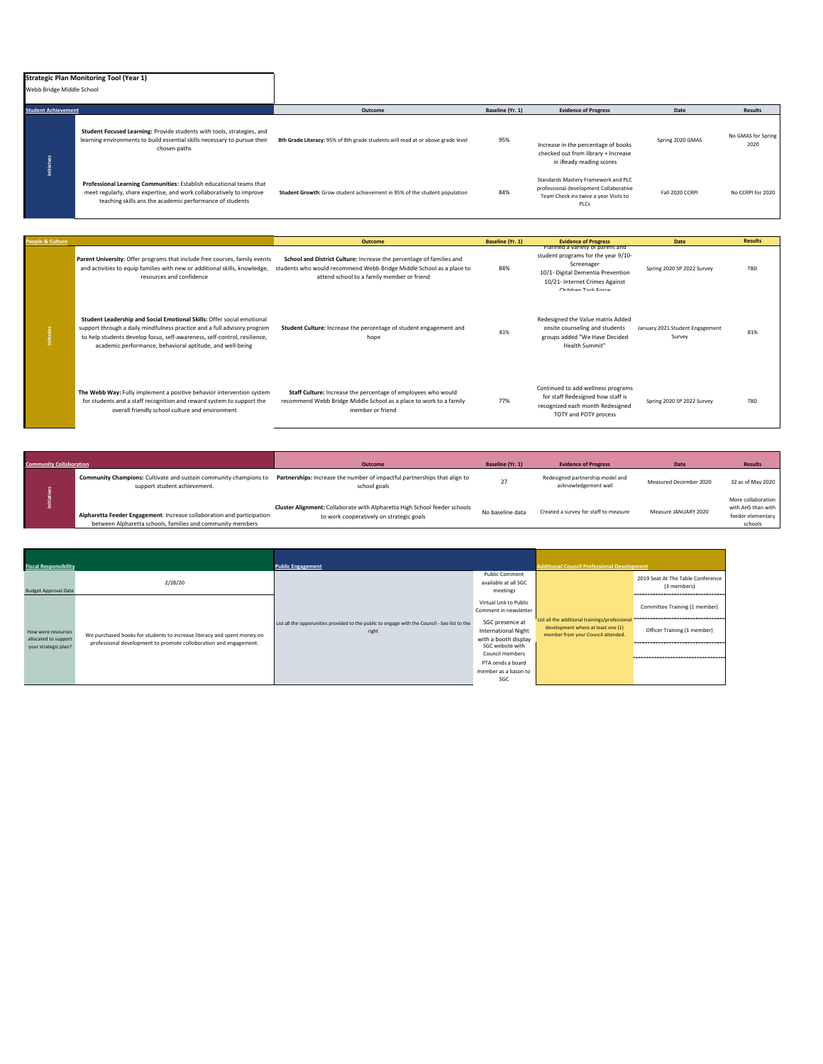| Webb Bridge Middle School  | <b>Strategic Plan Monitoring Tool (Year 1)</b>                                                                                                                                                          |                                                                                                                                                                                                                                                                                                        |                  |                                                                                                                                |                  |                            |
|----------------------------|---------------------------------------------------------------------------------------------------------------------------------------------------------------------------------------------------------|--------------------------------------------------------------------------------------------------------------------------------------------------------------------------------------------------------------------------------------------------------------------------------------------------------|------------------|--------------------------------------------------------------------------------------------------------------------------------|------------------|----------------------------|
| <b>Student Achievement</b> |                                                                                                                                                                                                         | Outcome                                                                                                                                                                                                                                                                                                | Baseline (Yr. 1) | <b>Evidence of Progress</b>                                                                                                    | Date             | <b>Results</b>             |
| Initiatve                  | Student Focused Learning: Provide students with tools, strategies, and<br>learning environments to build essential skills necessary to pursue their<br>chosen paths                                     | 8th Grade Literacy: 95% of 8th grade students will read at or above grade level                                                                                                                                                                                                                        | 95%              | Increase in the percentage of books<br>checked out from library + Increase<br>in iReady reading scores                         | Spring 2020 GMAS | No GMAS for Spring<br>2020 |
|                            | Professional Learning Communities: Establish educational teams that<br>meet regularly, share expertise, and work collaboratively to improve<br>teaching skills ans the academic performance of students | Student Growth: Grow student achievement in 95% of the student population                                                                                                                                                                                                                              | 84%              | Standards Mastery Framework and PLC<br>professional development Collaborative<br>Team Check ins twice a year Visits to<br>PLCs | Fall 2020 CCRPI  | No CCRPI for 2020          |
| eople & Culture            |                                                                                                                                                                                                         | Outcome                                                                                                                                                                                                                                                                                                | Baseline (Yr. 1) | <b>Evidence of Progress</b>                                                                                                    | Date             | <b>Results</b>             |
|                            | Parent University: Offer programs that include free courses, family events                                                                                                                              | School and District Culture: Increase the percentage of families and<br>and a construction of the contract of the contract of the contract of the contract of the fine of the contract of the contract of the contract of the contract of the contract of the contract of the contract of the contract | 0.801            | Planned a variety of parent and<br>student programs for the year 9/10-<br>Screenager                                           |                  |                            |

| and activities to equip families with new or additional skills, knowledge,<br>resources and confidence                                                                                                                                                                                       | students who would recommend Webb Bridge Middle School as a place to<br>attend school to a family member or friend                                      | 84% | <u>sereensker</u><br>10/1- Digital Dementia Prevention<br>10/21- Internet Crimes Against<br>Children Task Force                      | Spring 2020 SP 2022 Survey                | TBD |
|----------------------------------------------------------------------------------------------------------------------------------------------------------------------------------------------------------------------------------------------------------------------------------------------|---------------------------------------------------------------------------------------------------------------------------------------------------------|-----|--------------------------------------------------------------------------------------------------------------------------------------|-------------------------------------------|-----|
| Student Leadership and Social Emotional Skills: Offer social emotional<br>support through a daily mindfulness practice and a full advisory program<br>to help students develop focus, self-awareness, self-control, resilience,<br>academic performance, behavioral aptitude, and well-being | Student Culture: Increase the percentage of student engagement and<br>hope                                                                              | 81% | Redesigned the Value matrix Added<br>onsite counseling and students<br>groups added "We Have Decided<br>Health Summit"               | January 2021 Student Engagement<br>Survey | 81% |
| The Webb Way: Fully implement a positive behavior intervention system<br>for students and a staff recognition and reward system to support the<br>overall friendly school culture and environment                                                                                            | Staff Culture: Increase the percentage of employees who would<br>recommend Webb Bridge Middle School as a place to work to a family<br>member or friend | 77% | Continued to add wellness programs<br>for staff Redesigned how staff is<br>recognized each month Redesigned<br>TOTY and POTY process | Spring 2020 SP 2022 Survey                | TBD |

| <b>Community Collaboration</b> |                                                                                                                                      | Outcome                                                                                                               | Baseline (Yr. 1) | <b>Evidence of Progress</b>                              | Date                   | <b>Results</b>                                                           |
|--------------------------------|--------------------------------------------------------------------------------------------------------------------------------------|-----------------------------------------------------------------------------------------------------------------------|------------------|----------------------------------------------------------|------------------------|--------------------------------------------------------------------------|
|                                | <b>Community Champions:</b> Cultivate and sustain community champions to<br>support student achievement.                             | Partnerships: Increase the number of impactful partnerships that align to<br>school goals                             |                  | Redesigned partnership model and<br>acknowledgement wall | Measured December 2020 | 32 as of May 2020                                                        |
|                                | Alpharetta Feeder Engagement: Increase collaboration and participation<br>between Alpharetta schools, families and community members | Cluster Alignment: Collaborate with Alpharetta High School feeder schools<br>to work cooperatively on strategic goals | No baseline data | Created a survey for staff to measure                    | Measure JANUARY 2020   | More collaboration<br>with AHS than with<br>feeder elementary<br>schools |

| <b>Fiscal Responsibility</b>                 |                                                                         | <b>Public Engagement</b>                                                                               |                                                             | <b>Additional Council Professional Development</b>                                                                         |                                                  |
|----------------------------------------------|-------------------------------------------------------------------------|--------------------------------------------------------------------------------------------------------|-------------------------------------------------------------|----------------------------------------------------------------------------------------------------------------------------|--------------------------------------------------|
| <b>Budget Approval Date</b>                  | 2/28/20                                                                 |                                                                                                        | <b>Public Comment</b><br>available at all SGC<br>meetings   |                                                                                                                            | 2019 Seat At The Table Conference<br>(3 members) |
|                                              |                                                                         |                                                                                                        | Virtual Link to Public<br>Comment in newsletter             |                                                                                                                            | Committee Training (1 member)                    |
| How were resources                           | We purchased books for students to increase literacy and spent money on | List all the opporunities provided to the public to engage with the Council - See list to the<br>right | SGC presence at<br><b>International Night</b>               | List all the additional trainings/professional<br>development where at least one (1)<br>member from your Council attended. | Officer Training (1 member)                      |
| allocated to support<br>your strategic plan? | professional development to promote colloboration and engagement.       |                                                                                                        | with a booth display<br>SGC website with<br>Council members |                                                                                                                            |                                                  |
|                                              |                                                                         |                                                                                                        | PTA sends a board<br>member as a liason to<br>SGC           |                                                                                                                            |                                                  |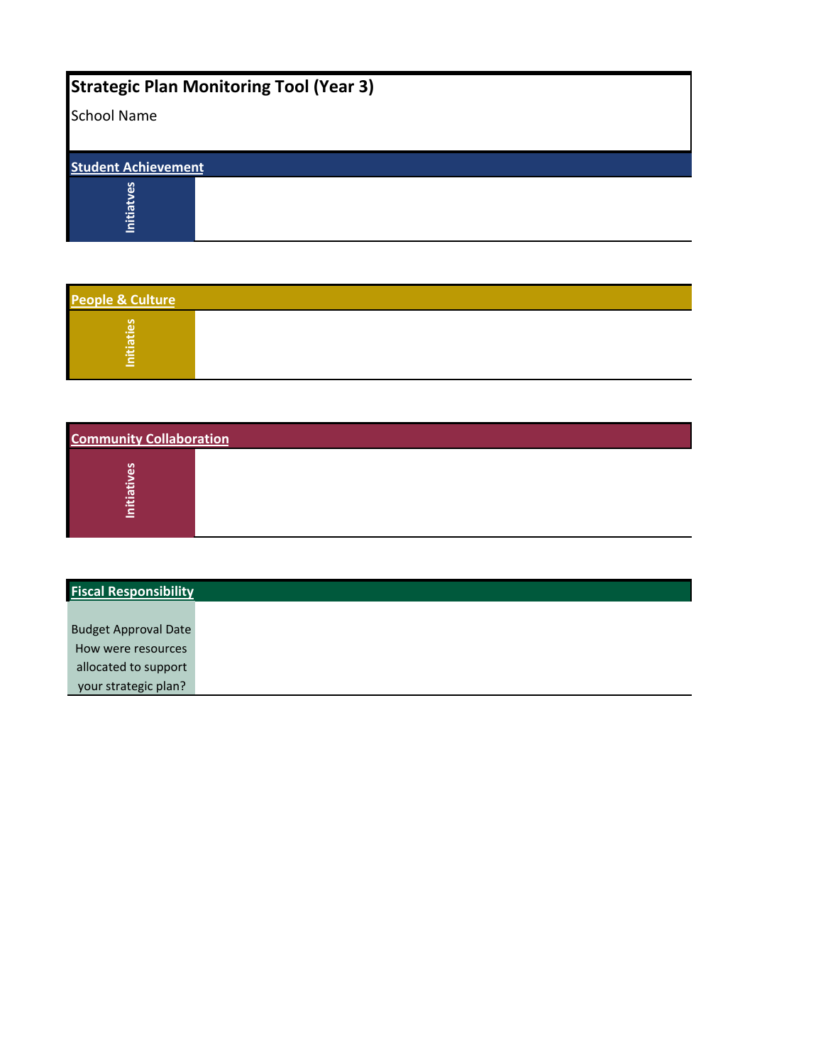## **Strategic Plan Monitoring Tool (Year 3)**

| <b>School Name</b>         |  |  |
|----------------------------|--|--|
| <b>Student Achievement</b> |  |  |
| ಀ<br>Initiat               |  |  |

| People & Culture |  |  |  |
|------------------|--|--|--|
| ω<br>⋍<br>-      |  |  |  |

| Initiaties                     |  |  |  |
|--------------------------------|--|--|--|
|                                |  |  |  |
| <b>Community Collaboration</b> |  |  |  |
| <b>Initiatives</b>             |  |  |  |
|                                |  |  |  |
| <b>Fiscal Responsibility</b>   |  |  |  |

| <b>Fiscal Responsibility</b> |  |  |
|------------------------------|--|--|
|                              |  |  |
| <b>Budget Approval Date</b>  |  |  |
| How were resources           |  |  |
| allocated to support         |  |  |
| your strategic plan?         |  |  |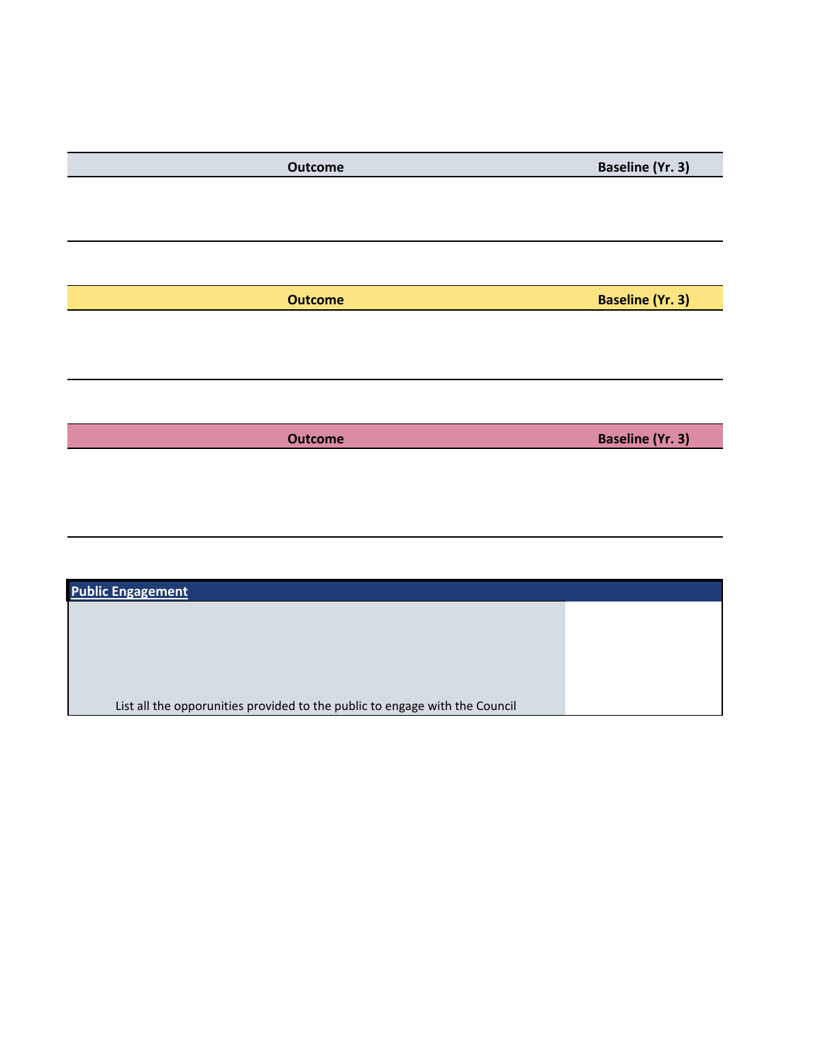| Outcome        | <b>Baseline (Yr. 3)</b> |
|----------------|-------------------------|
|                |                         |
|                |                         |
|                |                         |
|                |                         |
| <b>Outcome</b> | <b>Baseline (Yr. 3)</b> |
|                |                         |
|                |                         |
|                |                         |
|                |                         |
|                |                         |
| <b>Outcome</b> | <b>Baseline (Yr. 3)</b> |
|                |                         |
|                |                         |
|                |                         |
|                |                         |
|                |                         |
|                |                         |

| <b>Public Engagement</b>                                                    |  |
|-----------------------------------------------------------------------------|--|
|                                                                             |  |
|                                                                             |  |
|                                                                             |  |
|                                                                             |  |
| List all the opporunities provided to the public to engage with the Council |  |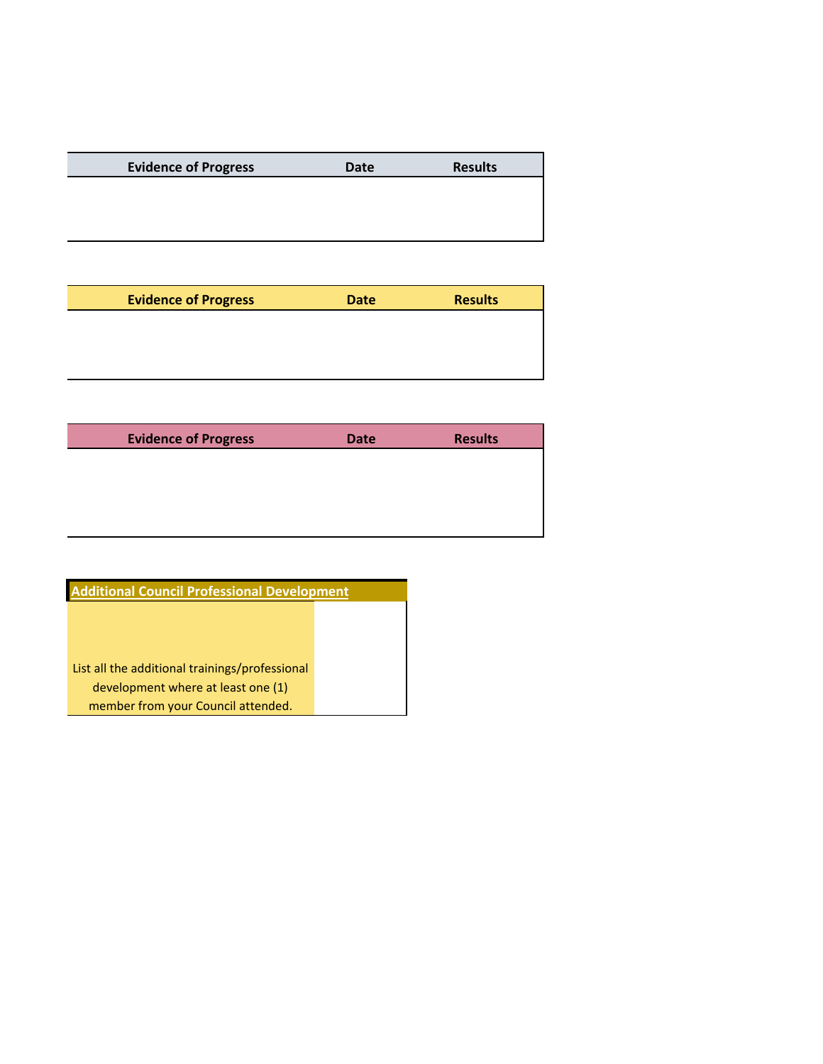| <b>Evidence of Progress</b> | <b>Date</b> | <b>Results</b> |
|-----------------------------|-------------|----------------|
|                             |             |                |
|                             |             |                |
|                             |             |                |
|                             |             |                |
|                             |             |                |
|                             |             |                |

| <b>Evidence of Progress</b> | <b>Date</b> | <b>Results</b> |
|-----------------------------|-------------|----------------|
|                             |             |                |
|                             |             |                |
|                             |             |                |

| <b>Evidence of Progress</b> | <b>Date</b> | <b>Results</b> |
|-----------------------------|-------------|----------------|
|                             |             |                |
|                             |             |                |
|                             |             |                |
|                             |             |                |

| <b>Additional Council Professional Development</b> |  |  |
|----------------------------------------------------|--|--|
|                                                    |  |  |
|                                                    |  |  |
|                                                    |  |  |
| List all the additional trainings/professional     |  |  |
| development where at least one (1)                 |  |  |
| member from your Council attended.                 |  |  |